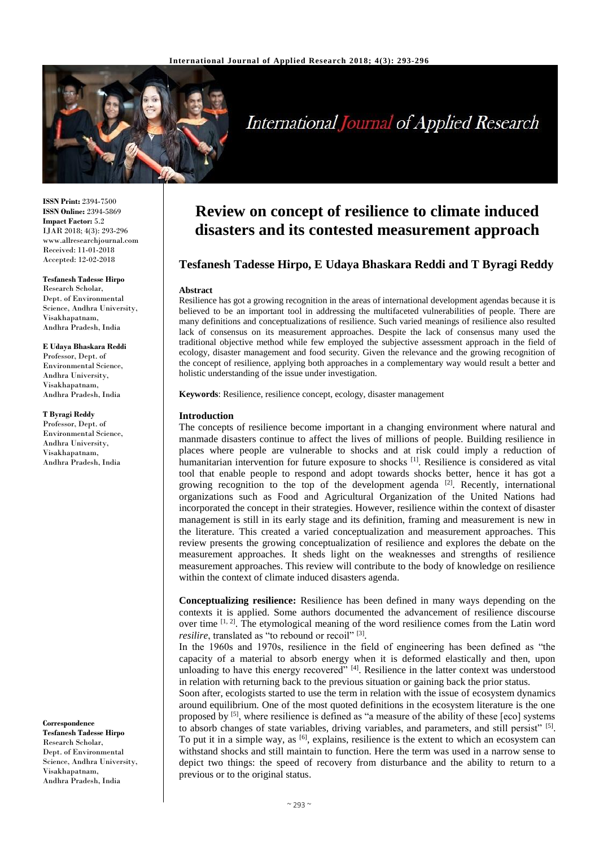

# **International Journal of Applied Research**

**ISSN Print:** 2394-7500 **ISSN Online:** 2394-5869 **Impact Factor:** 5.2 IJAR 2018; 4(3): 293-296 www.allresearchjournal.com Received: 11-01-2018 Accepted: 12-02-2018

**Tesfanesh Tadesse Hirpo** Research Scholar, Dept. of Environmental Science, Andhra University, Visakhapatnam, Andhra Pradesh, India

### **E Udaya Bhaskara Reddi**

Professor, Dept. of Environmental Science, Andhra University, Visakhapatnam, Andhra Pradesh, India

#### **T Byragi Reddy**

Professor, Dept. of Environmental Science, Andhra University, Visakhapatnam, Andhra Pradesh, India

**Correspondence Tesfanesh Tadesse Hirpo** Research Scholar, Dept. of Environmental Science, Andhra University, Visakhapatnam, Andhra Pradesh, India

## **Review on concept of resilience to climate induced disasters and its contested measurement approach**

## **Tesfanesh Tadesse Hirpo, E Udaya Bhaskara Reddi and T Byragi Reddy**

## **Abstract**

Resilience has got a growing recognition in the areas of international development agendas because it is believed to be an important tool in addressing the multifaceted vulnerabilities of people. There are many definitions and conceptualizations of resilience. Such varied meanings of resilience also resulted lack of consensus on its measurement approaches. Despite the lack of consensus many used the traditional objective method while few employed the subjective assessment approach in the field of ecology, disaster management and food security. Given the relevance and the growing recognition of the concept of resilience, applying both approaches in a complementary way would result a better and holistic understanding of the issue under investigation.

**Keywords**: Resilience, resilience concept, ecology, disaster management

## **Introduction**

The concepts of resilience become important in a changing environment where natural and manmade disasters continue to affect the lives of millions of people. Building resilience in places where people are vulnerable to shocks and at risk could imply a reduction of humanitarian intervention for future exposure to shocks <sup>[1]</sup>. Resilience is considered as vital tool that enable people to respond and adopt towards shocks better, hence it has got a growing recognition to the top of the development agenda [2]. Recently, international organizations such as Food and Agricultural Organization of the United Nations had incorporated the concept in their strategies. However, resilience within the context of disaster management is still in its early stage and its definition, framing and measurement is new in the literature. This created a varied conceptualization and measurement approaches. This review presents the growing conceptualization of resilience and explores the debate on the measurement approaches. It sheds light on the weaknesses and strengths of resilience measurement approaches. This review will contribute to the body of knowledge on resilience within the context of climate induced disasters agenda.

**Conceptualizing resilience:** Resilience has been defined in many ways depending on the contexts it is applied. Some authors documented the advancement of resilience discourse over time [1, 2]. The etymological meaning of the word resilience comes from the Latin word resilire, translated as "to rebound or recoil"<sup>[3]</sup>.

In the 1960s and 1970s, resilience in the field of engineering has been defined as "the capacity of a material to absorb energy when it is deformed elastically and then, upon unloading to have this energy recovered"  $[4]$ . Resilience in the latter context was understood in relation with returning back to the previous situation or gaining back the prior status.

Soon after, ecologists started to use the term in relation with the issue of ecosystem dynamics around equilibrium. One of the most quoted definitions in the ecosystem literature is the one proposed by [5], where resilience is defined as "a measure of the ability of these [eco] systems to absorb changes of state variables, driving variables, and parameters, and still persist" [5]. To put it in a simple way, as <sup>[6]</sup>, explains, resilience is the extent to which an ecosystem can withstand shocks and still maintain to function. Here the term was used in a narrow sense to depict two things: the speed of recovery from disturbance and the ability to return to a previous or to the original status.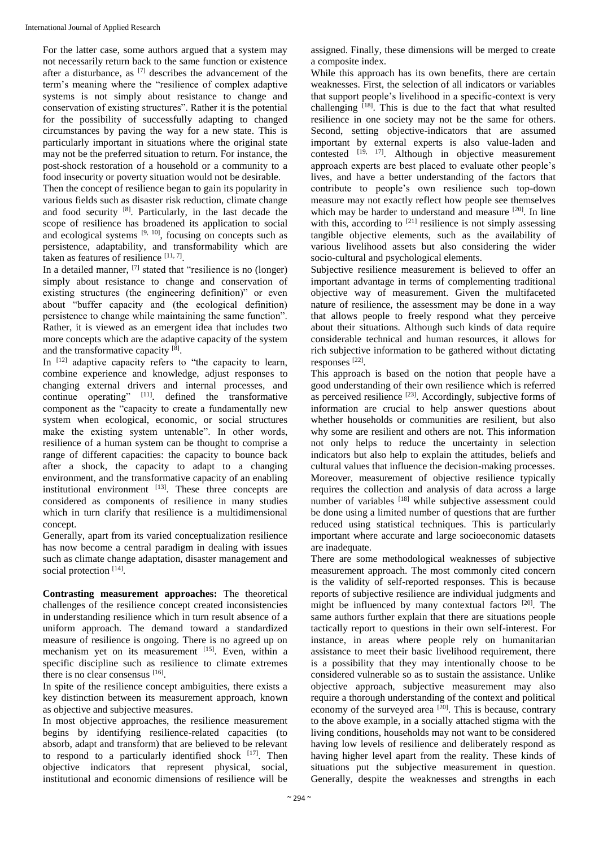For the latter case, some authors argued that a system may not necessarily return back to the same function or existence after a disturbance, as [7] describes the advancement of the term's meaning where the "resilience of complex adaptive systems is not simply about resistance to change and conservation of existing structures". Rather it is the potential for the possibility of successfully adapting to changed circumstances by paving the way for a new state. This is particularly important in situations where the original state may not be the preferred situation to return. For instance, the post-shock restoration of a household or a community to a food insecurity or poverty situation would not be desirable.

Then the concept of resilience began to gain its popularity in various fields such as disaster risk reduction, climate change and food security [8]. Particularly, in the last decade the scope of resilience has broadened its application to social and ecological systems  $[9, 10]$ , focusing on concepts such as persistence, adaptability, and transformability which are taken as features of resilience  $[11, 7]$ .

In a detailed manner, [7] stated that "resilience is no (longer) simply about resistance to change and conservation of existing structures (the engineering definition)" or even about "buffer capacity and (the ecological definition) persistence to change while maintaining the same function". Rather, it is viewed as an emergent idea that includes two more concepts which are the adaptive capacity of the system and the transformative capacity [8].

In [12] adaptive capacity refers to "the capacity to learn, combine experience and knowledge, adjust responses to changing external drivers and internal processes, and continue operating"  $[11]$  defined the transformative component as the "capacity to create a fundamentally new system when ecological, economic, or social structures make the existing system untenable". In other words, resilience of a human system can be thought to comprise a range of different capacities: the capacity to bounce back after a shock, the capacity to adapt to a changing environment, and the transformative capacity of an enabling institutional environment  $[13]$ . These three concepts are considered as components of resilience in many studies which in turn clarify that resilience is a multidimensional concept.

Generally, apart from its varied conceptualization resilience has now become a central paradigm in dealing with issues such as climate change adaptation, disaster management and social protection [14].

**Contrasting measurement approaches:** The theoretical challenges of the resilience concept created inconsistencies in understanding resilience which in turn result absence of a uniform approach. The demand toward a standardized measure of resilience is ongoing. There is no agreed up on mechanism yet on its measurement [15]. Even, within a specific discipline such as resilience to climate extremes there is no clear consensus [16].

In spite of the resilience concept ambiguities, there exists a key distinction between its measurement approach, known as objective and subjective measures.

In most objective approaches, the resilience measurement begins by identifying resilience-related capacities (to absorb, adapt and transform) that are believed to be relevant to respond to a particularly identified shock  $[17]$ . Then objective indicators that represent physical, social, institutional and economic dimensions of resilience will be

assigned. Finally, these dimensions will be merged to create a composite index.

While this approach has its own benefits, there are certain weaknesses. First, the selection of all indicators or variables that support people's livelihood in a specific-context is very challenging  $[18]$ . This is due to the fact that what resulted resilience in one society may not be the same for others. Second, setting objective-indicators that are assumed important by external experts is also value-laden and contested  $[19, 17]$ . Although in objective measurement approach experts are best placed to evaluate other people's lives, and have a better understanding of the factors that contribute to people's own resilience such top-down measure may not exactly reflect how people see themselves which may be harder to understand and measure <sup>[20]</sup>. In line with this, according to  $[21]$  resilience is not simply assessing tangible objective elements, such as the availability of various livelihood assets but also considering the wider socio-cultural and psychological elements.

Subjective resilience measurement is believed to offer an important advantage in terms of complementing traditional objective way of measurement. Given the multifaceted nature of resilience, the assessment may be done in a way that allows people to freely respond what they perceive about their situations. Although such kinds of data require considerable technical and human resources, it allows for rich subjective information to be gathered without dictating responses [22] .

This approach is based on the notion that people have a good understanding of their own resilience which is referred as perceived resilience  $^{[23]}$ . Accordingly, subjective forms of information are crucial to help answer questions about whether households or communities are resilient, but also why some are resilient and others are not. This information not only helps to reduce the uncertainty in selection indicators but also help to explain the attitudes, beliefs and cultural values that influence the decision-making processes. Moreover, measurement of objective resilience typically requires the collection and analysis of data across a large number of variables <sup>[18]</sup> while subjective assessment could be done using a limited number of questions that are further reduced using statistical techniques. This is particularly important where accurate and large socioeconomic datasets are inadequate.

There are some methodological weaknesses of subjective measurement approach. The most commonly cited concern is the validity of self-reported responses. This is because reports of subjective resilience are individual judgments and might be influenced by many contextual factors [20]. The same authors further explain that there are situations people tactically report to questions in their own self-interest. For instance, in areas where people rely on humanitarian assistance to meet their basic livelihood requirement, there is a possibility that they may intentionally choose to be considered vulnerable so as to sustain the assistance. Unlike objective approach, subjective measurement may also require a thorough understanding of the context and political economy of the surveyed area  $[20]$ . This is because, contrary to the above example, in a socially attached stigma with the living conditions, households may not want to be considered having low levels of resilience and deliberately respond as having higher level apart from the reality. These kinds of situations put the subjective measurement in question. Generally, despite the weaknesses and strengths in each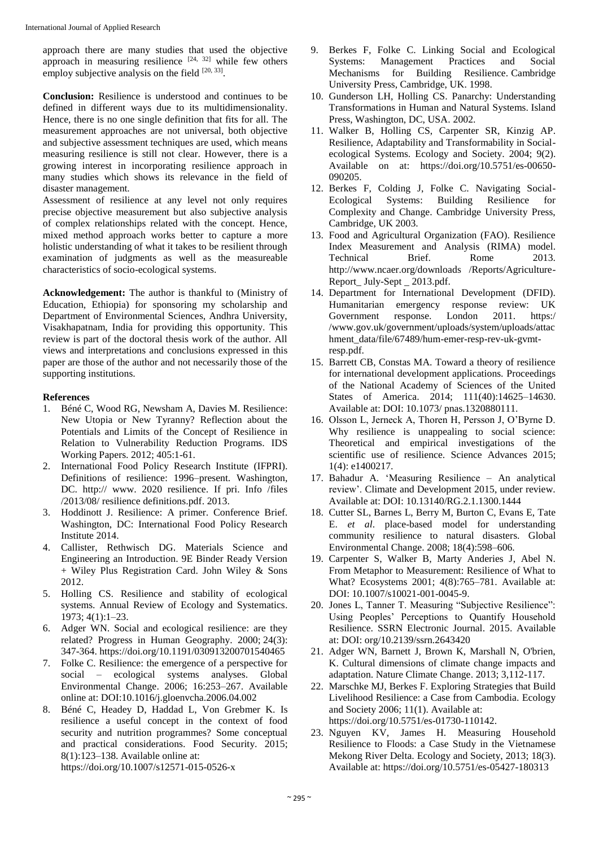approach there are many studies that used the objective approach in measuring resilience  $[24, 32]$  while few others employ subjective analysis on the field  $[20, 33]$ .

**Conclusion:** Resilience is understood and continues to be defined in different ways due to its multidimensionality. Hence, there is no one single definition that fits for all. The measurement approaches are not universal, both objective and subjective assessment techniques are used, which means measuring resilience is still not clear. However, there is a growing interest in incorporating resilience approach in many studies which shows its relevance in the field of disaster management.

Assessment of resilience at any level not only requires precise objective measurement but also subjective analysis of complex relationships related with the concept. Hence, mixed method approach works better to capture a more holistic understanding of what it takes to be resilient through examination of judgments as well as the measureable characteristics of socio-ecological systems.

**Acknowledgement:** The author is thankful to (Ministry of Education, Ethiopia) for sponsoring my scholarship and Department of Environmental Sciences, Andhra University, Visakhapatnam, India for providing this opportunity. This review is part of the doctoral thesis work of the author. All views and interpretations and conclusions expressed in this paper are those of the author and not necessarily those of the supporting institutions.

## **References**

- 1. Béné C, Wood RG, Newsham A, Davies M. Resilience: New Utopia or New Tyranny? Reflection about the Potentials and Limits of the Concept of Resilience in Relation to Vulnerability Reduction Programs. IDS Working Papers. 2012; 405:1-61.
- 2. International Food Policy Research Institute (IFPRI). Definitions of resilience: 1996–present. Washington, DC. http:// www. 2020 resilience. If pri. Info /files /2013/08/ resilience definitions.pdf. 2013.
- 3. Hoddinott J. Resilience: A primer. Conference Brief. Washington, DC: International Food Policy Research Institute 2014.
- 4. Callister, Rethwisch DG. Materials Science and Engineering an Introduction. 9E Binder Ready Version + Wiley Plus Registration Card. John Wiley & Sons 2012.
- 5. Holling CS. Resilience and stability of ecological systems. Annual Review of Ecology and Systematics. 1973; 4(1):1–23.
- 6. Adger WN. Social and ecological resilience: are they related? Progress in Human Geography. 2000; 24(3): 347-364. https://doi.org/10.1191/030913200701540465
- 7. Folke C. Resilience: the emergence of a perspective for social – ecological systems analyses. Global Environmental Change. 2006; 16:253–267. Available online at: DOI:10.1016/j.gloenvcha.2006.04.002
- 8. Béné C, Headey D, Haddad L, Von Grebmer K. Is resilience a useful concept in the context of food security and nutrition programmes? Some conceptual and practical considerations. Food Security. 2015; 8(1):123–138. Available online at: https://doi.org/10.1007/s12571-015-0526-x

9. Berkes F, Folke C. Linking Social and Ecological Systems: Management Practices and Social Mechanisms for Building Resilience. Cambridge University Press, Cambridge, UK. 1998.

- 10. Gunderson LH, Holling CS. Panarchy: Understanding Transformations in Human and Natural Systems. Island Press, Washington, DC, USA. 2002.
- 11. Walker B, Holling CS, Carpenter SR, Kinzig AP. Resilience, Adaptability and Transformability in Socialecological Systems. Ecology and Society. 2004; 9(2). Available on at: https://doi.org/10.5751/es-00650- 090205.
- 12. Berkes F, Colding J, Folke C. Navigating Social-Ecological Systems: Building Resilience for Complexity and Change. Cambridge University Press, Cambridge, UK 2003.
- 13. Food and Agricultural Organization (FAO). Resilience Index Measurement and Analysis (RIMA) model. Technical Brief. Rome 2013. http://www.ncaer.org/downloads /Reports/Agriculture-Report July-Sept 2013.pdf.
- 14. Department for International Development (DFID). Humanitarian emergency response review: UK Government response. London 2011. https:/ /www.gov.uk/government/uploads/system/uploads/attac hment\_data/file/67489/hum-emer-resp-rev-uk-gvmtresp.pdf.
- 15. Barrett CB, Constas MA. Toward a theory of resilience for international development applications. Proceedings of the National Academy of Sciences of the United States of America. 2014; 111(40):14625–14630. Available at: DOI: 10.1073/ pnas.1320880111.
- 16. Olsson L, Jerneck A, Thoren H, Persson J, O'Byrne D. Why resilience is unappealing to social science: Theoretical and empirical investigations of the scientific use of resilience. Science Advances 2015; 1(4): e1400217.
- 17. Bahadur A. 'Measuring Resilience An analytical review'. Climate and Development 2015, under review. Available at: DOI: 10.13140/RG.2.1.1300.1444
- 18. Cutter SL, Barnes L, Berry M, Burton C, Evans E, Tate E. *et al*. place-based model for understanding community resilience to natural disasters. Global Environmental Change. 2008; 18(4):598–606.
- 19. Carpenter S, Walker B, Marty Anderies J, Abel N. From Metaphor to Measurement: Resilience of What to What? Ecosystems 2001; 4(8):765–781. Available at: DOI: 10.1007/s10021-001-0045-9.
- 20. Jones L, Tanner T. Measuring "Subjective Resilience": Using Peoples' Perceptions to Quantify Household Resilience. SSRN Electronic Journal. 2015. Available at: DOI: org/10.2139/ssrn.2643420
- 21. Adger WN, Barnett J, Brown K, Marshall N, O'brien, K. Cultural dimensions of climate change impacts and adaptation. Nature Climate Change. 2013; 3,112-117.
- 22. Marschke MJ, Berkes F. Exploring Strategies that Build Livelihood Resilience: a Case from Cambodia. Ecology and Society 2006; 11(1). Available at: https://doi.org/10.5751/es-01730-110142.
- 23. Nguyen KV, James H. Measuring Household Resilience to Floods: a Case Study in the Vietnamese Mekong River Delta. Ecology and Society, 2013; 18(3). Available at: https://doi.org/10.5751/es-05427-180313